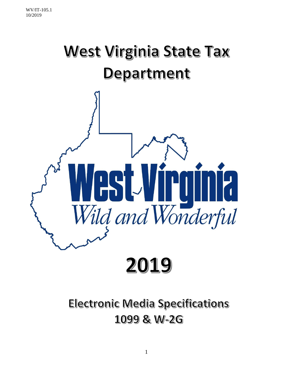

# **Electronic Media Specifications** 1099 & W-2G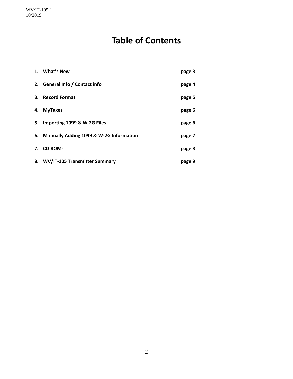# **Table of Contents**

| 1. What's New                              | page 3 |
|--------------------------------------------|--------|
| 2. General Info / Contact info             | page 4 |
| 3. Record Format                           | page 5 |
| 4. MyTaxes                                 | page 6 |
| 5. Importing 1099 & W-2G Files             | page 6 |
| 6. Manually Adding 1099 & W-2G Information | page 7 |
| 7. CD ROMs                                 | page 8 |
| 8. WV/IT-105 Transmitter Summary           | page 9 |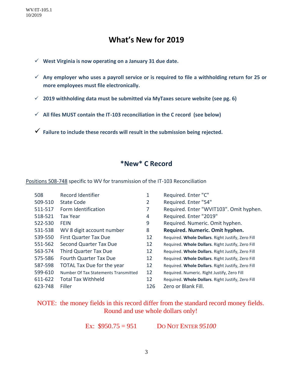# **What's New for 2019**

- ✓ **West Virginia is now operating on a January 31 due date.**
- ✓ **Any employer who uses a payroll service or is required to file a withholding return for 25 or more employees must file electronically.**
- ✓ **2019 withholding data must be submitted via MyTaxes secure website (see pg. 6)**
- ✓ **All files MUST contain the IT-103 reconciliation in the C record (see below)**
- ✓ **Failure to include these records will result in the submission being rejected.**

### **\*New\* C Record**

Positions 508-748 specific to WV for transmission of the IT-103 Reconciliation

| 508     | Record Identifier                    | 1   | Required. Enter "C"                               |
|---------|--------------------------------------|-----|---------------------------------------------------|
| 509-510 | <b>State Code</b>                    | 2   | Required. Enter "54"                              |
| 511-517 | Form Identification                  |     | Required. Enter "WVIT103". Omit hyphen.           |
| 518-521 | Tax Year                             | 4   | Required. Enter "2019"                            |
| 522-530 | <b>FEIN</b>                          | 9   | Required. Numeric. Omit hyphen.                   |
| 531-538 | WV 8 digit account number            | 8   | Required. Numeric. Omit hyphen.                   |
| 539-550 | <b>First Quarter Tax Due</b>         | 12  | Required. Whole Dollars. Right Justify, Zero Fill |
| 551-562 | Second Quarter Tax Due               | 12  | Required. Whole Dollars. Right Justify, Zero Fill |
| 563-574 | <b>Third Quarter Tax Due</b>         | 12  | Required. Whole Dollars. Right Justify, Zero Fill |
| 575-586 | <b>Fourth Quarter Tax Due</b>        | 12  | Required. Whole Dollars. Right Justify, Zero Fill |
| 587-598 | <b>TOTAL Tax Due for the year</b>    | 12  | Required. Whole Dollars. Right Justify, Zero Fill |
| 599-610 | Number Of Tax Statements Transmitted | 12  | Required. Numeric. Right Justify, Zero Fill       |
| 611-622 | <b>Total Tax Withheld</b>            | 12  | Required. Whole Dollars. Right Justify, Zero Fill |
| 623-748 | Filler                               | 126 | Zero or Blank Fill.                               |

### NOTE: the money fields in this record differ from the standard record money fields. Round and use whole dollars only!

Ex: \$950.75 = 951 DO NOT ENTER *95100*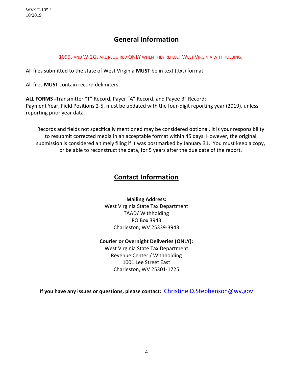# **General Information**

1099S AND W-2GS ARE REQUIRED ONLY WHEN THEY REFLECT WEST VIRGINIA WITHHOLDING.

All files submitted to the state of West Virginia **MUST** be in text (.txt) format.

All files **MUST** contain record delimiters.

**ALL FORMS -**Transmitter "T" Record, Payer "A" Record, and Payee B" Record; Payment Year, Field Positions 2-5, must be updated with the four-digit reporting year (2019), unless reporting prior year data.

Records and fields not specifically mentioned may be considered optional. It is your responsibility to resubmit corrected media in an acceptable format within 45 days. However, the original submission is considered a timely filing if it was postmarked by January 31. You must keep a copy, or be able to reconstruct the data, for 5 years after the due date of the report.

# **Contact Information**

**Mailing Address:** West Virginia State Tax Department TAAD/ Withholding PO Box 3943 Charleston, WV 25339-3943

#### **Courier or Overnight Deliveries (ONLY):**

West Virginia State Tax Department Revenue Center / Withholding 1001 Lee Street East Charleston, WV 25301-1725

**If you have any issues or questions, please contact:** [Christine.D.Stephenson@wv.gov](mailto:Christine.D.Stephenson@wv.gov)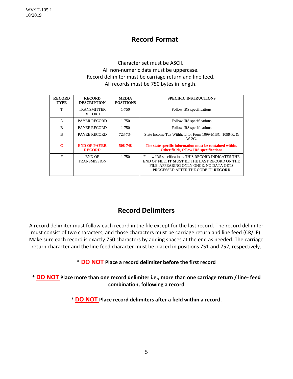### **Record Format**

#### Character set must be ASCII. All non-numeric data must be uppercase. Record delimiter must be carriage return and line feed. All records must be 750 bytes in length.

| <b>RECORD</b><br><b>TYPE</b> | <b>RECORD</b><br><b>DESCRIPTION</b>  | <b>MEDIA</b><br><b>POSITIONS</b> | <b>SPECIFIC INSTRUCTIONS</b>                                                                                                                                                             |
|------------------------------|--------------------------------------|----------------------------------|------------------------------------------------------------------------------------------------------------------------------------------------------------------------------------------|
| T                            | <b>TRANSMITTER</b><br><b>RECORD</b>  | $1 - 750$                        | Follow IRS specifications                                                                                                                                                                |
| $\mathsf{A}$                 | <b>PAYER RECORD</b>                  | $1 - 750$                        | Follow IRS specifications                                                                                                                                                                |
| B                            | <b>PAYEE RECORD</b>                  | 1-750                            | Follow IRS specifications                                                                                                                                                                |
| $\overline{B}$               | <b>PAYEE RECORD</b>                  | 723-734                          | State Income Tax Withheld for Form 1099-MISC, 1099-R, &<br>$W-2G$ .                                                                                                                      |
| C                            | <b>END OF PAYER</b><br><b>RECORD</b> | 508-748                          | The state specific information must be contained within.<br><b>Other fields, follow IRS specifications</b>                                                                               |
| $\mathbf{F}$                 | <b>END OF</b><br><b>TRANSMISSION</b> | $1 - 750$                        | Follow IRS specifications. THIS RECORD INDICATES THE<br>END OF FILE. IT MUST BE THE LAST RECORD ON THE<br>FILE, APPEARING ONLY ONCE. NO DATA GETS<br>PROCESSED AFTER THE CODE 'F' RECORD |

# **Record Delimiters**

A record delimiter must follow each record in the file except for the last record. The record delimiter must consist of two characters, and those characters must be carriage return and line feed (CR/LF). Make sure each record is exactly 750 characters by adding spaces at the end as needed. The carriage return character and the line feed character must be placed in positions 751 and 752, respectively.

\* **DO NOT Place a record delimiter before the first record**

\* **DO NOT Place more than one record delimiter i.e., more than one carriage return / line- feed combination, following a record** 

\* **DO NOT Place record delimiters after a field within a record**.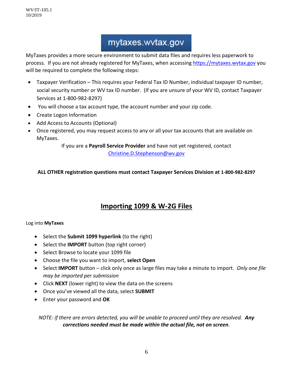WV/IT-105.1 10/2019

# mytaxes.wvtax.gov

MyTaxes provides a more secure environment to submit data files and requires less paperwork to process. If you are not already registered for MyTaxes, when accessing https://mytaxes.wytax.gov you will be required to complete the following steps:

- Taxpayer Verification This requires your Federal Tax ID Number, individual taxpayer ID number, social security number or WV tax ID number. (If you are unsure of your WV ID, contact Taxpayer Services at 1-800-982-8297)
- You will choose a tax account type, the account number and your zip code.
- Create Logon Information
- Add Access to Accounts (Optional)
- Once registered, you may request access to any or all your tax accounts that are available on MyTaxes.

If you are a **Payroll Service Provider** and have not yet registered, contact [Christine.D.Stephenson@wv.gov](mailto:Christine.D.Stephenson@wv.gov)

#### **ALL OTHER registration questions must contact Taxpayer Services Division at 1-800-982-8297**

# **Importing 1099 & W-2G Files**

#### Log into **MyTaxes**

- Select the **Submit 1099 hyperlink** (to the right)
- Select the **IMPORT** button (top right corner)
- Select Browse to locate your 1099 file
- Choose the file you want to import, **select Open**
- Select **IMPORT** button click only once as large files may take a minute to import. *Only one file may be imported per submission*
- Click **NEXT** (lower right) to view the data on the screens
- Once you've viewed all the data, select **SUBMIT**
- Enter your password and **OK**

*NOTE: if there are errors detected, you will be unable to proceed until they are resolved. Any corrections needed must be made within the actual file, not on screen.*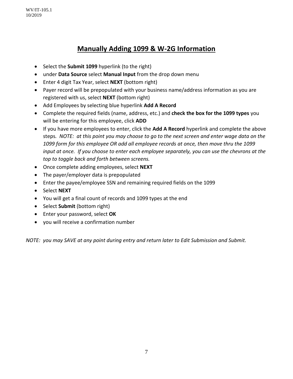WV/IT-105.1 10/2019

### **Manually Adding 1099 & W-2G Information**

- Select the **Submit 1099** hyperlink (to the right)
- under **Data Source** select **Manual Input** from the drop down menu
- Enter 4 digit Tax Year, select **NEXT** (bottom right)
- Payer record will be prepopulated with your business name/address information as you are registered with us, select **NEXT** (bottom right)
- Add Employees by selecting blue hyperlink **Add A Record**
- Complete the required fields (name, address, etc.) and **check the box for the 1099 types** you will be entering for this employee, click **ADD**
- If you have more employees to enter, click the **Add A Record** hyperlink and complete the above steps*. NOTE: at this point you may choose to go to the next screen and enter wage data on the 1099 form for this employee OR add all employee records at once, then move thru the 1099 input at once. If you choose to enter each employee separately, you can use the chevrons at the top to toggle back and forth between screens.*
- Once complete adding employees, select **NEXT**
- The payer/employer data is prepopulated
- Enter the payee/employee SSN and remaining required fields on the 1099
- Select **NEXT**
- You will get a final count of records and 1099 types at the end
- Select **Submit** (bottom right)
- Enter your password, select **OK**
- you will receive a confirmation number

*NOTE: you may SAVE at any point during entry and return later to Edit Submission and Submit.*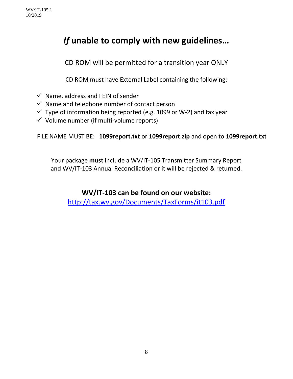# *If* **unable to comply with new guidelines…**

CD ROM will be permitted for a transition year ONLY

CD ROM must have External Label containing the following:

- $\checkmark$  Name, address and FEIN of sender
- $\checkmark$  Name and telephone number of contact person
- $\checkmark$  Type of information being reported (e.g. 1099 or W-2) and tax year
- $\checkmark$  Volume number (if multi-volume reports)

FILE NAME MUST BE: **1099report.txt** or **1099report.zip** and open to **1099report.txt**

Your package **must** include a WV/IT-105 Transmitter Summary Report and WV/IT-103 Annual Reconciliation or it will be rejected & returned.

# **WV/IT-103 can be found on our website:**

<http://tax.wv.gov/Documents/TaxForms/it103.pdf>